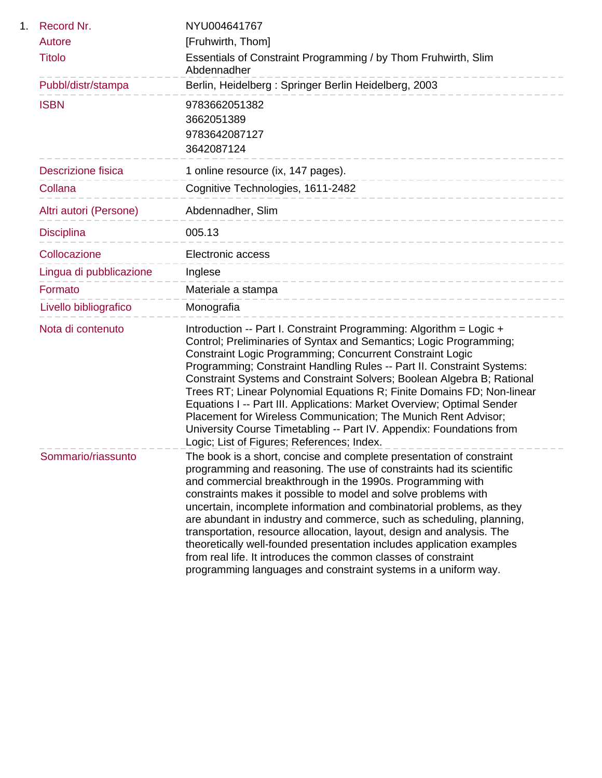| 1. | Record Nr.                | NYU004641767                                                                                                                                                                                                                                                                                                                                                                                                                                                                                                                                                                                                                                                                                                        |
|----|---------------------------|---------------------------------------------------------------------------------------------------------------------------------------------------------------------------------------------------------------------------------------------------------------------------------------------------------------------------------------------------------------------------------------------------------------------------------------------------------------------------------------------------------------------------------------------------------------------------------------------------------------------------------------------------------------------------------------------------------------------|
|    | Autore                    | [Fruhwirth, Thom]                                                                                                                                                                                                                                                                                                                                                                                                                                                                                                                                                                                                                                                                                                   |
|    | <b>Titolo</b>             | Essentials of Constraint Programming / by Thom Fruhwirth, Slim<br>Abdennadher                                                                                                                                                                                                                                                                                                                                                                                                                                                                                                                                                                                                                                       |
|    | Pubbl/distr/stampa        | Berlin, Heidelberg: Springer Berlin Heidelberg, 2003                                                                                                                                                                                                                                                                                                                                                                                                                                                                                                                                                                                                                                                                |
|    | <b>ISBN</b>               | 9783662051382                                                                                                                                                                                                                                                                                                                                                                                                                                                                                                                                                                                                                                                                                                       |
|    |                           | 3662051389                                                                                                                                                                                                                                                                                                                                                                                                                                                                                                                                                                                                                                                                                                          |
|    |                           | 9783642087127                                                                                                                                                                                                                                                                                                                                                                                                                                                                                                                                                                                                                                                                                                       |
|    |                           | 3642087124                                                                                                                                                                                                                                                                                                                                                                                                                                                                                                                                                                                                                                                                                                          |
|    | <b>Descrizione fisica</b> | 1 online resource (ix, 147 pages).                                                                                                                                                                                                                                                                                                                                                                                                                                                                                                                                                                                                                                                                                  |
|    | Collana                   | Cognitive Technologies, 1611-2482                                                                                                                                                                                                                                                                                                                                                                                                                                                                                                                                                                                                                                                                                   |
|    | Altri autori (Persone)    | Abdennadher, Slim<br>___________________________                                                                                                                                                                                                                                                                                                                                                                                                                                                                                                                                                                                                                                                                    |
|    | <b>Disciplina</b>         | 005.13<br>_____________________                                                                                                                                                                                                                                                                                                                                                                                                                                                                                                                                                                                                                                                                                     |
|    | Collocazione              | Electronic access<br>----------------------------                                                                                                                                                                                                                                                                                                                                                                                                                                                                                                                                                                                                                                                                   |
|    | Lingua di pubblicazione   | Inglese                                                                                                                                                                                                                                                                                                                                                                                                                                                                                                                                                                                                                                                                                                             |
|    | Formato                   | Materiale a stampa<br>------------------------                                                                                                                                                                                                                                                                                                                                                                                                                                                                                                                                                                                                                                                                      |
|    | Livello bibliografico     | Monografia                                                                                                                                                                                                                                                                                                                                                                                                                                                                                                                                                                                                                                                                                                          |
|    | Nota di contenuto         | Introduction -- Part I. Constraint Programming: Algorithm = Logic +<br>Control; Preliminaries of Syntax and Semantics; Logic Programming;<br>Constraint Logic Programming; Concurrent Constraint Logic<br>Programming; Constraint Handling Rules -- Part II. Constraint Systems:<br>Constraint Systems and Constraint Solvers; Boolean Algebra B; Rational<br>Trees RT; Linear Polynomial Equations R; Finite Domains FD; Non-linear<br>Equations I -- Part III. Applications: Market Overview; Optimal Sender<br>Placement for Wireless Communication; The Munich Rent Advisor;<br>University Course Timetabling -- Part IV. Appendix: Foundations from<br>Logic; List of Figures; References; Index.              |
|    | Sommario/riassunto        | The book is a short, concise and complete presentation of constraint<br>programming and reasoning. The use of constraints had its scientific<br>and commercial breakthrough in the 1990s. Programming with<br>constraints makes it possible to model and solve problems with<br>uncertain, incomplete information and combinatorial problems, as they<br>are abundant in industry and commerce, such as scheduling, planning,<br>transportation, resource allocation, layout, design and analysis. The<br>theoretically well-founded presentation includes application examples<br>from real life. It introduces the common classes of constraint<br>programming languages and constraint systems in a uniform way. |